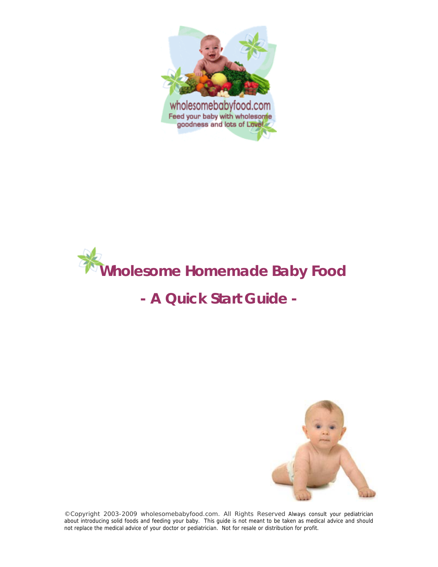



# **- A Quick Start Guide -**



*©Copyright 2003-2009 wholesomebabyfood.com. All Rights Reserved* Always consult your pediatrician about introducing solid foods and feeding your baby. This guide is not meant to be taken as medical advice and should not replace the medical advice of your doctor or pediatrician. Not for resale or distribution for profit.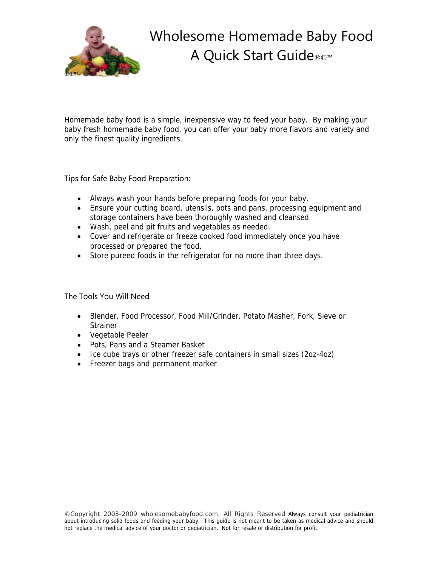

Wholesome Homemade Baby Food A Quick Start Guide®©™

Homemade baby food is a simple, inexpensive way to feed your baby. By making your baby fresh homemade baby food, you can offer your baby more flavors and variety and only the finest quality ingredients.

Tips for Safe Baby Food Preparation:

- Always wash your hands before preparing foods for your baby.
- Ensure your cutting board, utensils, pots and pans, processing equipment and storage containers have been thoroughly washed and cleansed.
- Wash, peel and pit fruits and vegetables as needed.
- Cover and refrigerate or freeze cooked food immediately once you have processed or prepared the food.
- Store pureed foods in the refrigerator for no more than three days.

The Tools You Will Need

- Blender, Food Processor, Food Mill/Grinder, Potato Masher, Fork, Sieve or **Strainer**
- Vegetable Peeler
- Pots, Pans and a Steamer Basket
- Ice cube trays or other freezer safe containers in small sizes (2oz-4oz)
- Freezer bags and permanent marker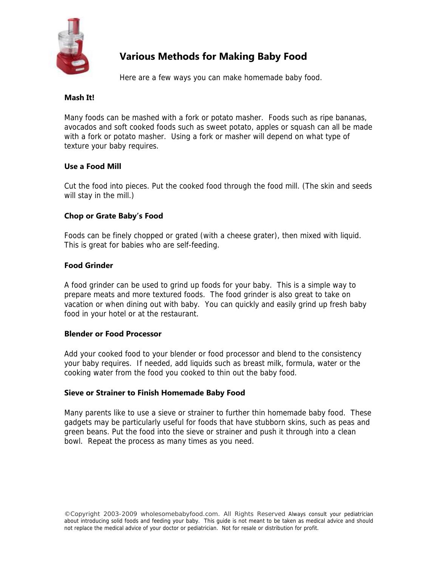

## **Various Methods for Making Baby Food**

Here are a few ways you can make homemade baby food.

#### **Mash It!**

Many foods can be mashed with a fork or potato masher. Foods such as ripe bananas, avocados and soft cooked foods such as sweet potato, apples or squash can all be made with a fork or potato masher. Using a fork or masher will depend on what type of texture your baby requires.

#### **Use a Food Mill**

Cut the food into pieces. Put the cooked food through the food mill. (The skin and seeds will stay in the mill.)

#### **Chop or Grate Baby's Food**

Foods can be finely chopped or grated (with a cheese grater), then mixed with liquid. This is great for babies who are self-feeding.

#### **Food Grinder**

A food grinder can be used to grind up foods for your baby. This is a simple way to prepare meats and more textured foods. The food grinder is also great to take on vacation or when dining out with baby. You can quickly and easily grind up fresh baby food in your hotel or at the restaurant.

#### **Blender or Food Processor**

Add your cooked food to your blender or food processor and blend to the consistency your baby requires. If needed, add liquids such as breast milk, formula, water or the cooking water from the food you cooked to thin out the baby food.

#### **Sieve or Strainer to Finish Homemade Baby Food**

Many parents like to use a sieve or strainer to further thin homemade baby food. These gadgets may be particularly useful for foods that have stubborn skins, such as peas and green beans. Put the food into the sieve or strainer and push it through into a clean bowl. Repeat the process as many times as you need.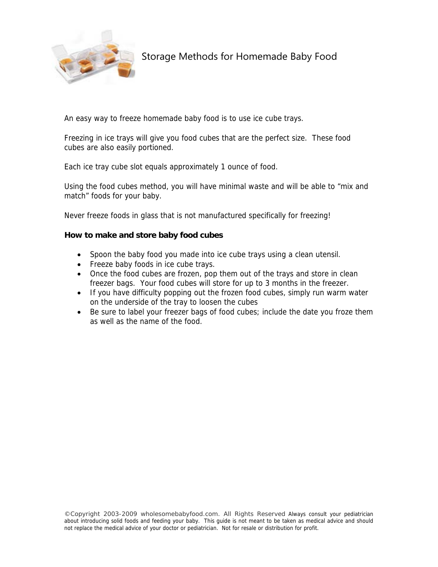

An easy way to freeze homemade baby food is to use ice cube trays.

Freezing in ice trays will give you food cubes that are the perfect size. These food cubes are also easily portioned.

Each ice tray cube slot equals approximately 1 ounce of food.

Using the food cubes method, you will have minimal waste and will be able to "mix and match" foods for your baby.

Never freeze foods in glass that is not manufactured specifically for freezing!

#### **How to make and store baby food cubes**

- Spoon the baby food you made into ice cube trays using a clean utensil.
- Freeze baby foods in ice cube trays.
- Once the food cubes are frozen, pop them out of the trays and store in clean freezer bags. Your food cubes will store for up to 3 months in the freezer.
- If you have difficulty popping out the frozen food cubes, simply run warm water on the underside of the tray to loosen the cubes
- Be sure to label your freezer bags of food cubes; include the date you froze them as well as the name of the food.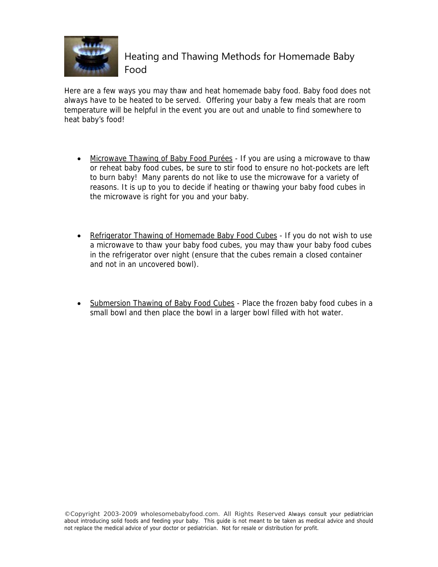

Here are a few ways you may thaw and heat homemade baby food. Baby food does not always have to be heated to be served. Offering your baby a few meals that are room temperature will be helpful in the event you are out and unable to find somewhere to heat baby's food!

- Microwave Thawing of Baby Food Purées If you are using a microwave to thaw or reheat baby food cubes, be sure to stir food to ensure no hot-pockets are left to burn baby! Many parents do not like to use the microwave for a variety of reasons. It is up to you to decide if heating or thawing your baby food cubes in the microwave is right for you and your baby.
- Refrigerator Thawing of Homemade Baby Food Cubes If you do not wish to use a microwave to thaw your baby food cubes, you may thaw your baby food cubes in the refrigerator over night (ensure that the cubes remain a closed container and not in an uncovered bowl).
- Submersion Thawing of Baby Food Cubes Place the frozen baby food cubes in a small bowl and then place the bowl in a larger bowl filled with hot water.